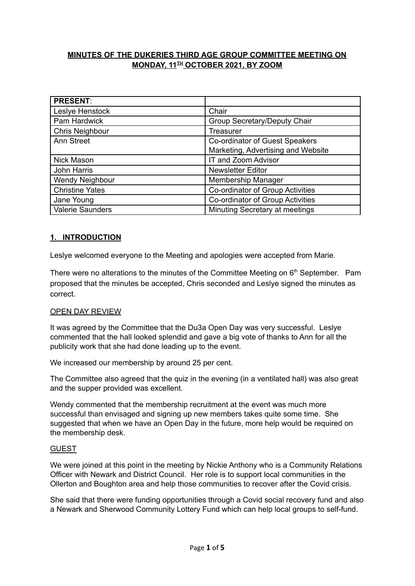# **MINUTES OF THE DUKERIES THIRD AGE GROUP COMMITTEE MEETING ON**  $MONDAY, 11<sup>II</sup> OCTOBER 2021, BY ZOOM$

| <b>PRESENT:</b>         |                                    |
|-------------------------|------------------------------------|
| Leslye Henstock         | Chair                              |
| Pam Hardwick            | Group Secretary/Deputy Chair       |
| Chris Neighbour         | Treasurer                          |
| Ann Street              | Co-ordinator of Guest Speakers     |
|                         | Marketing, Advertising and Website |
| <b>Nick Mason</b>       | IT and Zoom Advisor                |
| John Harris             | <b>Newsletter Editor</b>           |
| Wendy Neighbour         | Membership Manager                 |
| <b>Christine Yates</b>  | Co-ordinator of Group Activities   |
| Jane Young              | Co-ordinator of Group Activities   |
| <b>Valerie Saunders</b> | Minuting Secretary at meetings     |

# **1. INTRODUCTION**

Leslye welcomed everyone to the Meeting and apologies were accepted from Marie.

There were no alterations to the minutes of the Committee Meeting on  $6<sup>th</sup>$  September. Pam proposed that the minutes be accepted, Chris seconded and Leslye signed the minutes as correct.

### OPEN DAY REVIEW

It was agreed by the Committee that the Du3a Open Day was very successful. Leslye commented that the hall looked splendid and gave a big vote of thanks to Ann for all the publicity work that she had done leading up to the event.

We increased our membership by around 25 per cent.

The Committee also agreed that the quiz in the evening (in a ventilated hall) was also great and the supper provided was excellent.

Wendy commented that the membership recruitment at the event was much more successful than envisaged and signing up new members takes quite some time. She suggested that when we have an Open Day in the future, more help would be required on the membership desk.

### GUEST

We were joined at this point in the meeting by Nickie Anthony who is a Community Relations Officer with Newark and District Council. Her role is to support local communities in the Ollerton and Boughton area and help those communities to recover after the Covid crisis.

She said that there were funding opportunities through a Covid social recovery fund and also a Newark and Sherwood Community Lottery Fund which can help local groups to self-fund.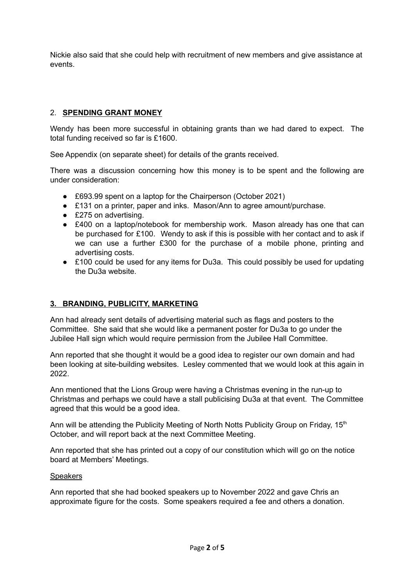Nickie also said that she could help with recruitment of new members and give assistance at events.

# 2. **SPENDING GRANT MONEY**

Wendy has been more successful in obtaining grants than we had dared to expect. The total funding received so far is £1600.

See Appendix (on separate sheet) for details of the grants received.

There was a discussion concerning how this money is to be spent and the following are under consideration:

- £693.99 spent on a laptop for the Chairperson (October 2021)
- £131 on a printer, paper and inks. Mason/Ann to agree amount/purchase.
- £275 on advertising.
- £400 on a laptop/notebook for membership work. Mason already has one that can be purchased for £100. Wendy to ask if this is possible with her contact and to ask if we can use a further £300 for the purchase of a mobile phone, printing and advertising costs.
- £100 could be used for any items for Du3a. This could possibly be used for updating the Du3a website.

# **3. BRANDING, PUBLICITY, MARKETING**

Ann had already sent details of advertising material such as flags and posters to the Committee. She said that she would like a permanent poster for Du3a to go under the Jubilee Hall sign which would require permission from the Jubilee Hall Committee.

Ann reported that she thought it would be a good idea to register our own domain and had been looking at site-building websites. Lesley commented that we would look at this again in 2022.

Ann mentioned that the Lions Group were having a Christmas evening in the run-up to Christmas and perhaps we could have a stall publicising Du3a at that event. The Committee agreed that this would be a good idea.

Ann will be attending the Publicity Meeting of North Notts Publicity Group on Friday, 15<sup>th</sup> October, and will report back at the next Committee Meeting.

Ann reported that she has printed out a copy of our constitution which will go on the notice board at Members' Meetings.

### **Speakers**

Ann reported that she had booked speakers up to November 2022 and gave Chris an approximate figure for the costs. Some speakers required a fee and others a donation.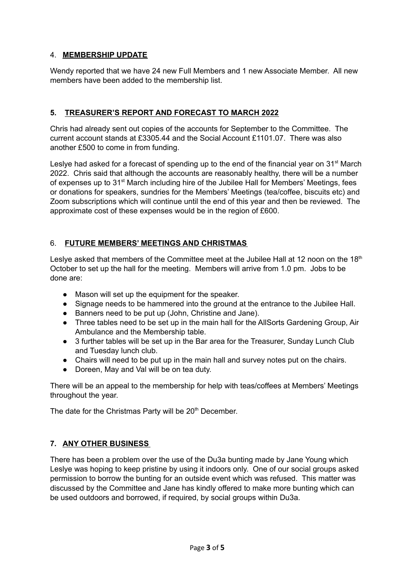# 4. **MEMBERSHIP UPDATE**

Wendy reported that we have 24 new Full Members and 1 new Associate Member. All new members have been added to the membership list.

# **5. TREASURER'S REPORT AND FORECAST TO MARCH 2022**

Chris had already sent out copies of the accounts for September to the Committee. The current account stands at £3305.44 and the Social Account £1101.07. There was also another £500 to come in from funding.

Leslye had asked for a forecast of spending up to the end of the financial year on 31<sup>st</sup> March 2022. Chris said that although the accounts are reasonably healthy, there will be a number of expenses up to 31<sup>st</sup> March including hire of the Jubilee Hall for Members' Meetings, fees or donations for speakers, sundries for the Members' Meetings (tea/coffee, biscuits etc) and Zoom subscriptions which will continue until the end of this year and then be reviewed. The approximate cost of these expenses would be in the region of £600.

# 6. **FUTURE MEMBERS' MEETINGS AND CHRISTMAS**

Leslye asked that members of the Committee meet at the Jubilee Hall at 12 noon on the 18<sup>th</sup> October to set up the hall for the meeting. Members will arrive from 1.0 pm. Jobs to be done are:

- Mason will set up the equipment for the speaker.
- Signage needs to be hammered into the ground at the entrance to the Jubilee Hall.
- Banners need to be put up (John, Christine and Jane).
- Three tables need to be set up in the main hall for the AllSorts Gardening Group, Air Ambulance and the Membership table.
- 3 further tables will be set up in the Bar area for the Treasurer, Sunday Lunch Club and Tuesday lunch club.
- Chairs will need to be put up in the main hall and survey notes put on the chairs.
- Doreen, May and Val will be on tea duty.

There will be an appeal to the membership for help with teas/coffees at Members' Meetings throughout the year.

The date for the Christmas Party will be 20<sup>th</sup> December.

# **7. ANY OTHER BUSINESS**

There has been a problem over the use of the Du3a bunting made by Jane Young which Leslye was hoping to keep pristine by using it indoors only. One of our social groups asked permission to borrow the bunting for an outside event which was refused. This matter was discussed by the Committee and Jane has kindly offered to make more bunting which can be used outdoors and borrowed, if required, by social groups within Du3a.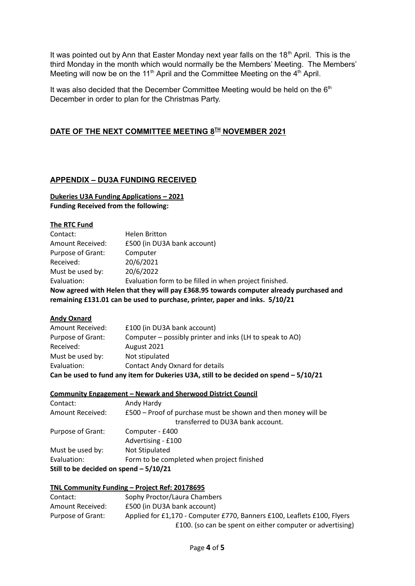It was pointed out by Ann that Easter Monday next year falls on the 18<sup>th</sup> April. This is the third Monday in the month which would normally be the Members' Meeting. The Members' Meeting will now be on the 11<sup>th</sup> April and the Committee Meeting on the  $4<sup>th</sup>$  April.

It was also decided that the December Committee Meeting would be held on the 6<sup>th</sup> December in order to plan for the Christmas Party.

# **DATE OF THE NEXT COMMITTEE MEETING 8 TH NOVEMBER 2021**

### **APPENDIX – DU3A FUNDING RECEIVED**

**Dukeries U3A Funding Applications – 2021 Funding Received from the following:**

### **The RTC Fund**

| Contact:                                                                                | <b>Helen Britton</b>                                   |  |
|-----------------------------------------------------------------------------------------|--------------------------------------------------------|--|
| Amount Received:                                                                        | £500 (in DU3A bank account)                            |  |
| Purpose of Grant:                                                                       | Computer                                               |  |
| Received:                                                                               | 20/6/2021                                              |  |
| Must be used by:                                                                        | 20/6/2022                                              |  |
| Evaluation:                                                                             | Evaluation form to be filled in when project finished. |  |
| Now agreed with Helen that they will pay £368.95 towards computer already purchased and |                                                        |  |
| remaining £131.01 can be used to purchase, printer, paper and inks. 5/10/21             |                                                        |  |

### **Andy Oxnard**

| Can be used to fund any item for Dukeries U3A, still to be decided on spend - 5/10/21 |                                                          |  |
|---------------------------------------------------------------------------------------|----------------------------------------------------------|--|
| Evaluation:                                                                           | <b>Contact Andy Oxnard for details</b>                   |  |
| Must be used by:                                                                      | Not stipulated                                           |  |
| Received:                                                                             | August 2021                                              |  |
| Purpose of Grant:                                                                     | Computer – possibly printer and inks (LH to speak to AO) |  |
| Amount Received:                                                                      | £100 (in DU3A bank account)                              |  |

### **Community Engagement – Newark and Sherwood District Council**

| Contact:                                | Andy Hardy                                                    |  |
|-----------------------------------------|---------------------------------------------------------------|--|
| Amount Received:                        | £500 – Proof of purchase must be shown and then money will be |  |
|                                         | transferred to DU3A bank account.                             |  |
| Purpose of Grant:                       | Computer - £400                                               |  |
|                                         | Advertising - £100                                            |  |
| Must be used by:                        | Not Stipulated                                                |  |
| Evaluation:                             | Form to be completed when project finished                    |  |
| Still to be decided on spend $-5/10/21$ |                                                               |  |

### **TNL Community Funding – Project Ref: 20178695**

| Contact:          | Sophy Proctor/Laura Chambers                                            |
|-------------------|-------------------------------------------------------------------------|
| Amount Received:  | £500 (in DU3A bank account)                                             |
| Purpose of Grant: | Applied for £1,170 - Computer £770, Banners £100, Leaflets £100, Flyers |
|                   | £100. (so can be spent on either computer or advertising)               |